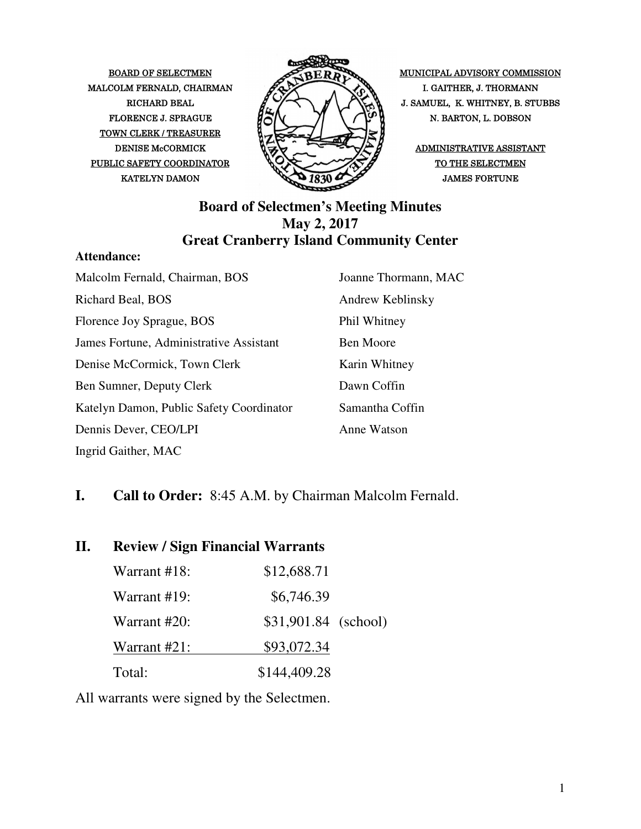MALCOLM FERNALD, CHAIRMAN  $\mathscr{P}\rightarrow\mathscr{P}$  I. GAITHER, J. THORMANN TOWN CLERK / TREASURER PUBLIC SAFETY COORDINATOR  $\bigotimes \bigotimes$   $\bigotimes$  of the selectmen



BOARD OF SELECTMEN MUNICIPAL ADVISORY COMMISSION RICHARD BEAL  $\mathcal{U} \rightarrow \mathcal{I}$   $\mathcal{I} \rightarrow \mathcal{I}$   $\mathcal{I} \rightarrow \mathcal{I}$  J. SAMUEL, K. WHITNEY, B. STUBBS FLORENCE J. SPRAGUE  $\mathcal{H}(\mathcal{N})$   $\mathcal{N}$   $\mathcal{N}$  N. BARTON, L. DOBSON

#### **Board of Selectmen's Meeting Minutes May 2, 2017 Great Cranberry Island Community Center**

#### **Attendance:**

| Malcolm Fernald, Chairman, BOS           | Joanne Thormann, MAC |
|------------------------------------------|----------------------|
| Richard Beal, BOS                        | Andrew Keblinsky     |
| Florence Joy Sprague, BOS                | Phil Whitney         |
| James Fortune, Administrative Assistant  | <b>Ben Moore</b>     |
| Denise McCormick, Town Clerk             | Karin Whitney        |
| Ben Sumner, Deputy Clerk                 | Dawn Coffin          |
| Katelyn Damon, Public Safety Coordinator | Samantha Coffin      |
| Dennis Dever, CEO/LPI                    | Anne Watson          |
| Ingrid Gaither, MAC                      |                      |

#### **I. Call to Order:** 8:45 A.M. by Chairman Malcolm Fernald.

#### **II. Review / Sign Financial Warrants**

| Warrant #18: | \$12,688.71          |
|--------------|----------------------|
| Warrant #19: | \$6,746.39           |
| Warrant #20: | \$31,901.84 (school) |
| Warrant #21: | \$93,072.34          |
| Total:       | \$144,409.28         |

All warrants were signed by the Selectmen.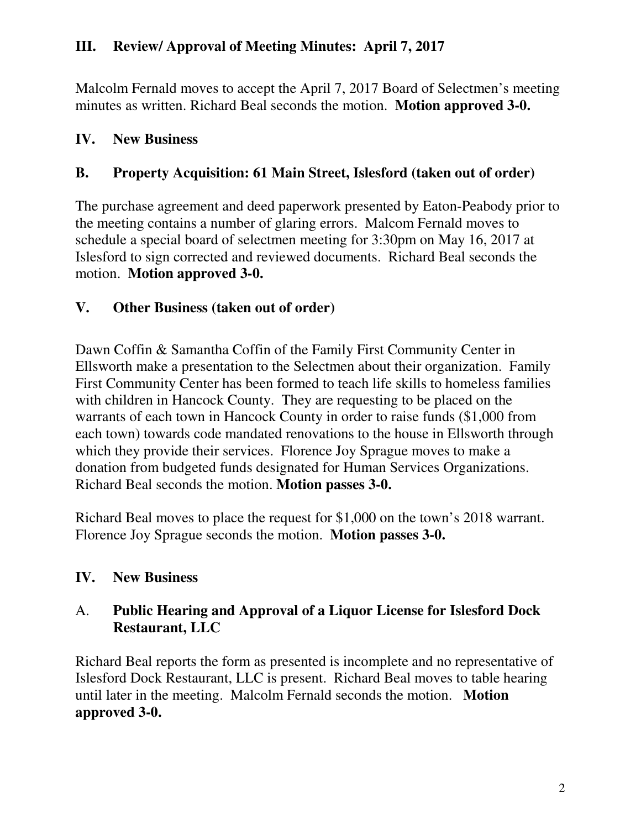# **III. Review/ Approval of Meeting Minutes: April 7, 2017**

Malcolm Fernald moves to accept the April 7, 2017 Board of Selectmen's meeting minutes as written. Richard Beal seconds the motion. **Motion approved 3-0.** 

# **IV. New Business**

# **B. Property Acquisition: 61 Main Street, Islesford (taken out of order)**

The purchase agreement and deed paperwork presented by Eaton-Peabody prior to the meeting contains a number of glaring errors. Malcom Fernald moves to schedule a special board of selectmen meeting for 3:30pm on May 16, 2017 at Islesford to sign corrected and reviewed documents. Richard Beal seconds the motion. **Motion approved 3-0.** 

# **V. Other Business (taken out of order)**

Dawn Coffin & Samantha Coffin of the Family First Community Center in Ellsworth make a presentation to the Selectmen about their organization. Family First Community Center has been formed to teach life skills to homeless families with children in Hancock County. They are requesting to be placed on the warrants of each town in Hancock County in order to raise funds (\$1,000 from each town) towards code mandated renovations to the house in Ellsworth through which they provide their services. Florence Joy Sprague moves to make a donation from budgeted funds designated for Human Services Organizations. Richard Beal seconds the motion. **Motion passes 3-0.** 

Richard Beal moves to place the request for \$1,000 on the town's 2018 warrant. Florence Joy Sprague seconds the motion. **Motion passes 3-0.**

# **IV. New Business**

# A. **Public Hearing and Approval of a Liquor License for Islesford Dock Restaurant, LLC**

Richard Beal reports the form as presented is incomplete and no representative of Islesford Dock Restaurant, LLC is present. Richard Beal moves to table hearing until later in the meeting. Malcolm Fernald seconds the motion. **Motion approved 3-0.**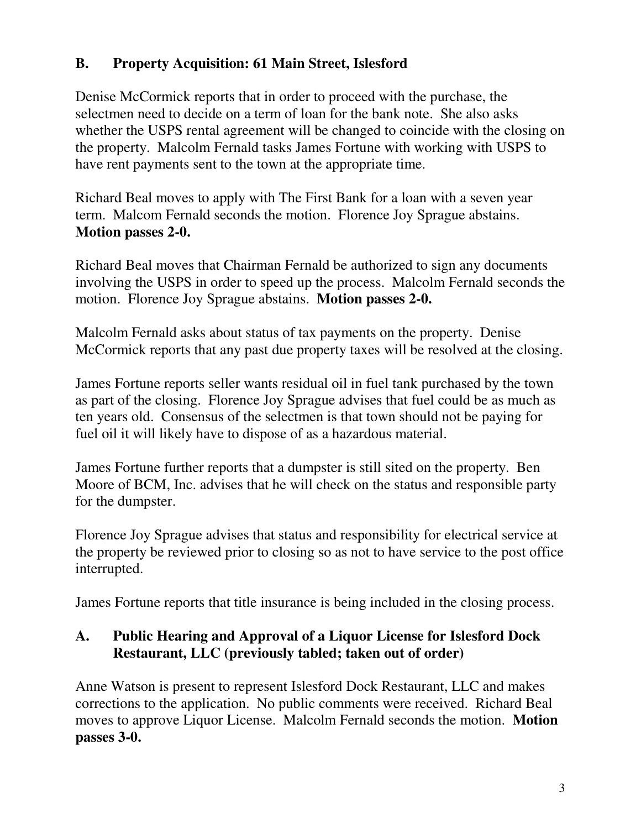# **B. Property Acquisition: 61 Main Street, Islesford**

Denise McCormick reports that in order to proceed with the purchase, the selectmen need to decide on a term of loan for the bank note. She also asks whether the USPS rental agreement will be changed to coincide with the closing on the property. Malcolm Fernald tasks James Fortune with working with USPS to have rent payments sent to the town at the appropriate time.

Richard Beal moves to apply with The First Bank for a loan with a seven year term. Malcom Fernald seconds the motion. Florence Joy Sprague abstains. **Motion passes 2-0.** 

Richard Beal moves that Chairman Fernald be authorized to sign any documents involving the USPS in order to speed up the process. Malcolm Fernald seconds the motion. Florence Joy Sprague abstains. **Motion passes 2-0.** 

Malcolm Fernald asks about status of tax payments on the property. Denise McCormick reports that any past due property taxes will be resolved at the closing.

James Fortune reports seller wants residual oil in fuel tank purchased by the town as part of the closing. Florence Joy Sprague advises that fuel could be as much as ten years old. Consensus of the selectmen is that town should not be paying for fuel oil it will likely have to dispose of as a hazardous material.

James Fortune further reports that a dumpster is still sited on the property. Ben Moore of BCM, Inc. advises that he will check on the status and responsible party for the dumpster.

Florence Joy Sprague advises that status and responsibility for electrical service at the property be reviewed prior to closing so as not to have service to the post office interrupted.

James Fortune reports that title insurance is being included in the closing process.

# **A. Public Hearing and Approval of a Liquor License for Islesford Dock Restaurant, LLC (previously tabled; taken out of order)**

Anne Watson is present to represent Islesford Dock Restaurant, LLC and makes corrections to the application. No public comments were received. Richard Beal moves to approve Liquor License. Malcolm Fernald seconds the motion. **Motion passes 3-0.**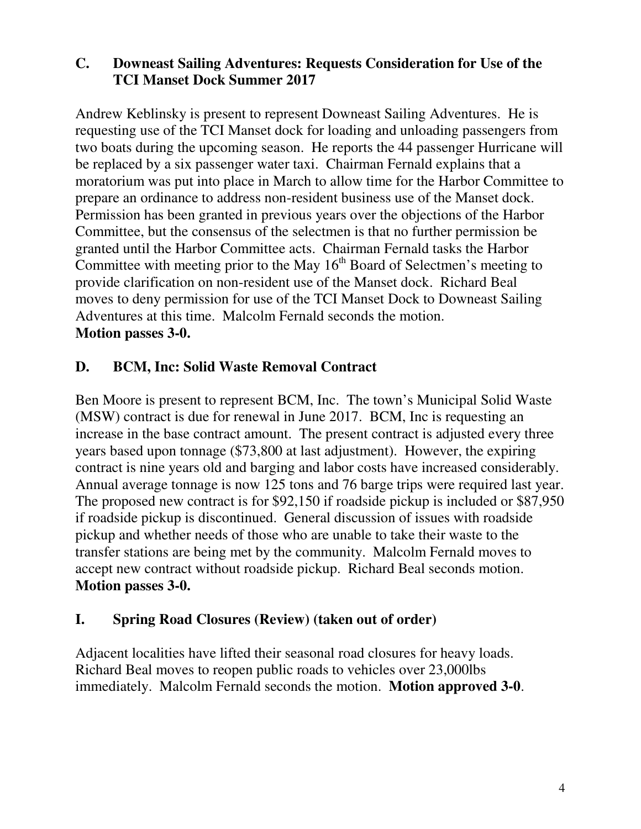#### **C. Downeast Sailing Adventures: Requests Consideration for Use of the TCI Manset Dock Summer 2017**

Andrew Keblinsky is present to represent Downeast Sailing Adventures. He is requesting use of the TCI Manset dock for loading and unloading passengers from two boats during the upcoming season. He reports the 44 passenger Hurricane will be replaced by a six passenger water taxi. Chairman Fernald explains that a moratorium was put into place in March to allow time for the Harbor Committee to prepare an ordinance to address non-resident business use of the Manset dock. Permission has been granted in previous years over the objections of the Harbor Committee, but the consensus of the selectmen is that no further permission be granted until the Harbor Committee acts. Chairman Fernald tasks the Harbor Committee with meeting prior to the May  $16<sup>th</sup>$  Board of Selectmen's meeting to provide clarification on non-resident use of the Manset dock. Richard Beal moves to deny permission for use of the TCI Manset Dock to Downeast Sailing Adventures at this time. Malcolm Fernald seconds the motion. **Motion passes 3-0.**

# **D. BCM, Inc: Solid Waste Removal Contract**

Ben Moore is present to represent BCM, Inc. The town's Municipal Solid Waste (MSW) contract is due for renewal in June 2017. BCM, Inc is requesting an increase in the base contract amount. The present contract is adjusted every three years based upon tonnage (\$73,800 at last adjustment). However, the expiring contract is nine years old and barging and labor costs have increased considerably. Annual average tonnage is now 125 tons and 76 barge trips were required last year. The proposed new contract is for \$92,150 if roadside pickup is included or \$87,950 if roadside pickup is discontinued. General discussion of issues with roadside pickup and whether needs of those who are unable to take their waste to the transfer stations are being met by the community. Malcolm Fernald moves to accept new contract without roadside pickup. Richard Beal seconds motion. **Motion passes 3-0.**

### **I. Spring Road Closures (Review) (taken out of order)**

Adjacent localities have lifted their seasonal road closures for heavy loads. Richard Beal moves to reopen public roads to vehicles over 23,000lbs immediately. Malcolm Fernald seconds the motion. **Motion approved 3-0**.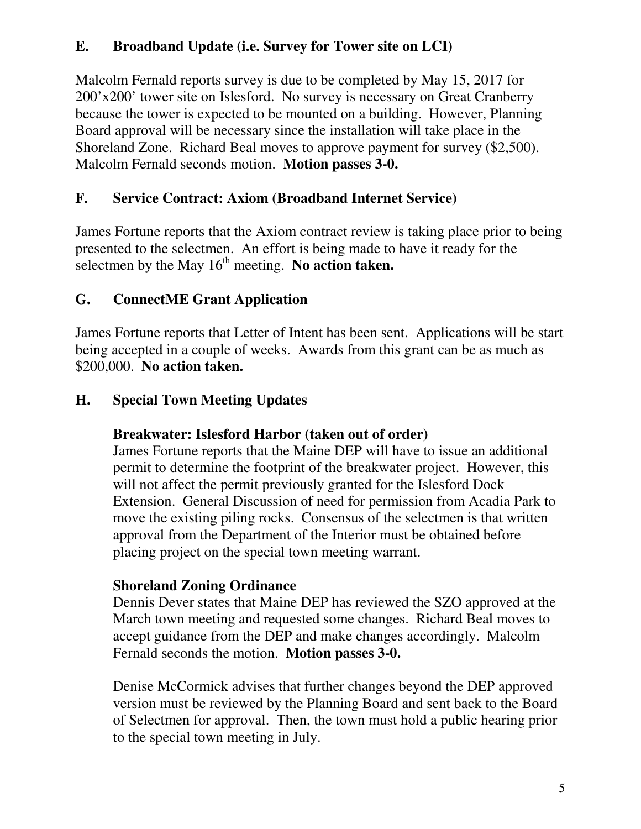# **E. Broadband Update (i.e. Survey for Tower site on LCI)**

Malcolm Fernald reports survey is due to be completed by May 15, 2017 for 200'x200' tower site on Islesford. No survey is necessary on Great Cranberry because the tower is expected to be mounted on a building. However, Planning Board approval will be necessary since the installation will take place in the Shoreland Zone. Richard Beal moves to approve payment for survey (\$2,500). Malcolm Fernald seconds motion. **Motion passes 3-0.**

# **F. Service Contract: Axiom (Broadband Internet Service)**

James Fortune reports that the Axiom contract review is taking place prior to being presented to the selectmen. An effort is being made to have it ready for the selectmen by the May  $16<sup>th</sup>$  meeting. No action taken.

# **G. ConnectME Grant Application**

James Fortune reports that Letter of Intent has been sent. Applications will be start being accepted in a couple of weeks. Awards from this grant can be as much as \$200,000. **No action taken.**

### **H. Special Town Meeting Updates**

### **Breakwater: Islesford Harbor (taken out of order)**

James Fortune reports that the Maine DEP will have to issue an additional permit to determine the footprint of the breakwater project. However, this will not affect the permit previously granted for the Islesford Dock Extension. General Discussion of need for permission from Acadia Park to move the existing piling rocks. Consensus of the selectmen is that written approval from the Department of the Interior must be obtained before placing project on the special town meeting warrant.

#### **Shoreland Zoning Ordinance**

Dennis Dever states that Maine DEP has reviewed the SZO approved at the March town meeting and requested some changes. Richard Beal moves to accept guidance from the DEP and make changes accordingly. Malcolm Fernald seconds the motion. **Motion passes 3-0.** 

Denise McCormick advises that further changes beyond the DEP approved version must be reviewed by the Planning Board and sent back to the Board of Selectmen for approval. Then, the town must hold a public hearing prior to the special town meeting in July.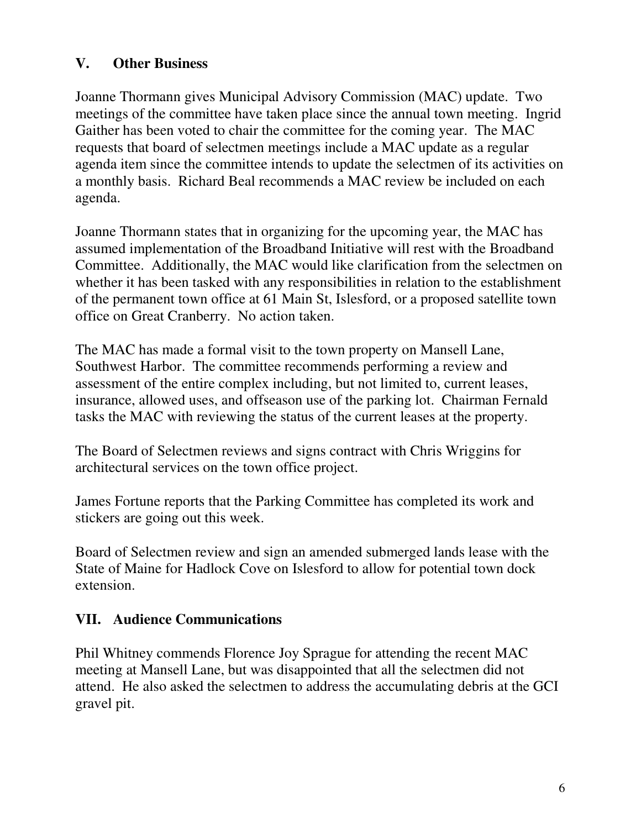### **V. Other Business**

Joanne Thormann gives Municipal Advisory Commission (MAC) update. Two meetings of the committee have taken place since the annual town meeting. Ingrid Gaither has been voted to chair the committee for the coming year. The MAC requests that board of selectmen meetings include a MAC update as a regular agenda item since the committee intends to update the selectmen of its activities on a monthly basis. Richard Beal recommends a MAC review be included on each agenda.

Joanne Thormann states that in organizing for the upcoming year, the MAC has assumed implementation of the Broadband Initiative will rest with the Broadband Committee. Additionally, the MAC would like clarification from the selectmen on whether it has been tasked with any responsibilities in relation to the establishment of the permanent town office at 61 Main St, Islesford, or a proposed satellite town office on Great Cranberry. No action taken.

The MAC has made a formal visit to the town property on Mansell Lane, Southwest Harbor. The committee recommends performing a review and assessment of the entire complex including, but not limited to, current leases, insurance, allowed uses, and offseason use of the parking lot. Chairman Fernald tasks the MAC with reviewing the status of the current leases at the property.

The Board of Selectmen reviews and signs contract with Chris Wriggins for architectural services on the town office project.

James Fortune reports that the Parking Committee has completed its work and stickers are going out this week.

Board of Selectmen review and sign an amended submerged lands lease with the State of Maine for Hadlock Cove on Islesford to allow for potential town dock extension.

### **VII. Audience Communications**

Phil Whitney commends Florence Joy Sprague for attending the recent MAC meeting at Mansell Lane, but was disappointed that all the selectmen did not attend. He also asked the selectmen to address the accumulating debris at the GCI gravel pit.